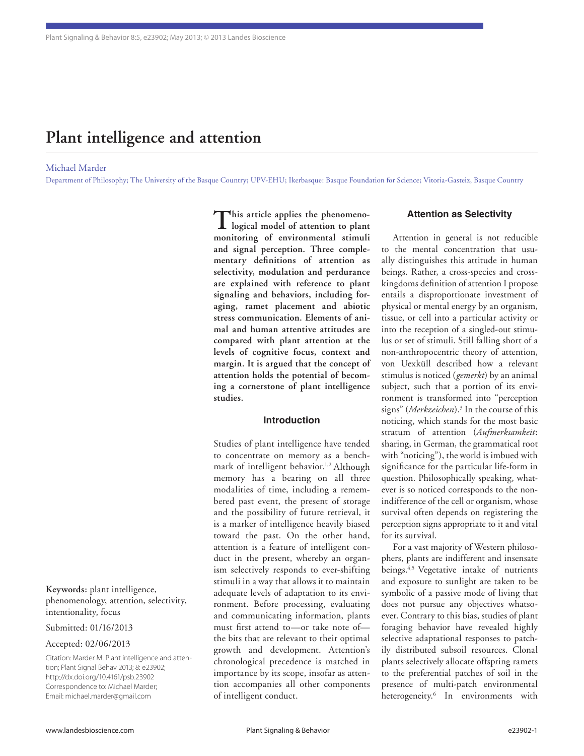# **Plant intelligence and attention**

## Michael Marder

Department of Philosophy; The University of the Basque Country; UPV-EHU; Ikerbasque: Basque Foundation for Science; Vitoria-Gasteiz, Basque Country

**This article applies the phenomeno-logical model of attention to plant monitoring of environmental stimuli and signal perception. Three complementary definitions of attention as selectivity, modulation and perdurance are explained with reference to plant signaling and behaviors, including foraging, ramet placement and abiotic stress communication. Elements of animal and human attentive attitudes are compared with plant attention at the levels of cognitive focus, context and margin. It is argued that the concept of attention holds the potential of becoming a cornerstone of plant intelligence studies.**

### **Introduction**

Studies of plant intelligence have tended to concentrate on memory as a benchmark of intelligent behavior.<sup>1,2</sup> Although memory has a bearing on all three modalities of time, including a remembered past event, the present of storage and the possibility of future retrieval, it is a marker of intelligence heavily biased toward the past. On the other hand, attention is a feature of intelligent conduct in the present, whereby an organism selectively responds to ever-shifting stimuli in a way that allows it to maintain adequate levels of adaptation to its environment. Before processing, evaluating and communicating information, plants must first attend to—or take note of the bits that are relevant to their optimal growth and development. Attention's chronological precedence is matched in importance by its scope, insofar as attention accompanies all other components of intelligent conduct.

## **Attention as Selectivity**

Attention in general is not reducible to the mental concentration that usually distinguishes this attitude in human beings. Rather, a cross-species and crosskingdoms definition of attention I propose entails a disproportionate investment of physical or mental energy by an organism, tissue, or cell into a particular activity or into the reception of a singled-out stimulus or set of stimuli. Still falling short of a non-anthropocentric theory of attention, von Uexküll described how a relevant stimulus is noticed (*gemerkt*) by an animal subject, such that a portion of its environment is transformed into "perception signs" (*Merkzeichen*).3 In the course of this noticing, which stands for the most basic stratum of attention (*Aufmerksamkeit*: sharing, in German, the grammatical root with "noticing"), the world is imbued with significance for the particular life-form in question. Philosophically speaking, whatever is so noticed corresponds to the nonindifference of the cell or organism, whose survival often depends on registering the perception signs appropriate to it and vital for its survival.

For a vast majority of Western philosophers, plants are indifferent and insensate beings.<sup>4,5</sup> Vegetative intake of nutrients and exposure to sunlight are taken to be symbolic of a passive mode of living that does not pursue any objectives whatsoever. Contrary to this bias, studies of plant foraging behavior have revealed highly selective adaptational responses to patchily distributed subsoil resources. Clonal plants selectively allocate offspring ramets to the preferential patches of soil in the presence of multi-patch environmental heterogeneity.6 In environments with

## **Keywords:** plant intelligence, phenomenology, attention, selectivity, intentionality, focus

Submitted: 01/16/2013

### Accepted: 02/06/2013

Citation: Marder M. Plant intelligence and attention; Plant Signal Behav 2013; 8: e23902; http://dx.doi.org/10.4161/psb.23902 Correspondence to: Michael Marder; Email: michael.marder@gmail.com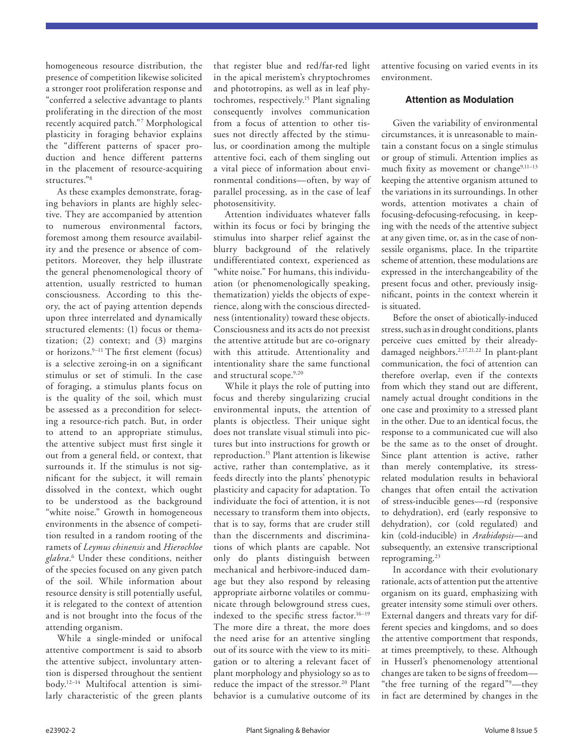homogeneous resource distribution, the presence of competition likewise solicited a stronger root proliferation response and "conferred a selective advantage to plants proliferating in the direction of the most recently acquired patch."7 Morphological plasticity in foraging behavior explains the "different patterns of spacer production and hence different patterns in the placement of resource-acquiring structures."8

As these examples demonstrate, foraging behaviors in plants are highly selective. They are accompanied by attention to numerous environmental factors, foremost among them resource availability and the presence or absence of competitors. Moreover, they help illustrate the general phenomenological theory of attention, usually restricted to human consciousness. According to this theory, the act of paying attention depends upon three interrelated and dynamically structured elements: (1) focus or thematization; (2) context; and (3) margins or horizons.<sup>9-11</sup> The first element (focus) is a selective zeroing-in on a significant stimulus or set of stimuli. In the case of foraging, a stimulus plants focus on is the quality of the soil, which must be assessed as a precondition for selecting a resource-rich patch. But, in order to attend to an appropriate stimulus, the attentive subject must first single it out from a general field, or context, that surrounds it. If the stimulus is not significant for the subject, it will remain dissolved in the context, which ought to be understood as the background "white noise." Growth in homogeneous environments in the absence of competition resulted in a random rooting of the ramets of *Leymus chinensis* and *Hierochloe glabra*. 6 Under these conditions, neither of the species focused on any given patch of the soil. While information about resource density is still potentially useful, it is relegated to the context of attention and is not brought into the focus of the attending organism.

While a single-minded or unifocal attentive comportment is said to absorb the attentive subject, involuntary attention is dispersed throughout the sentient body.12–14 Multifocal attention is similarly characteristic of the green plants

that register blue and red/far-red light in the apical meristem's chryptochromes and phototropins, as well as in leaf phytochromes, respectively.15 Plant signaling consequently involves communication from a focus of attention to other tissues not directly affected by the stimulus, or coordination among the multiple attentive foci, each of them singling out a vital piece of information about environmental conditions—often, by way of parallel processing, as in the case of leaf photosensitivity.

Attention individuates whatever falls within its focus or foci by bringing the stimulus into sharper relief against the blurry background of the relatively undifferentiated context, experienced as "white noise." For humans, this individuation (or phenomenologically speaking, thematization) yields the objects of experience, along with the conscious directedness (intentionality) toward these objects. Consciousness and its acts do not preexist the attentive attitude but are co-orignary with this attitude. Attentionality and intentionality share the same functional and structural scope.<sup>9,20</sup>

While it plays the role of putting into focus and thereby singularizing crucial environmental inputs, the attention of plants is objectless. Their unique sight does not translate visual stimuli into pictures but into instructions for growth or reproduction.15 Plant attention is likewise active, rather than contemplative, as it feeds directly into the plants' phenotypic plasticity and capacity for adaptation. To individuate the foci of attention, it is not necessary to transform them into objects, that is to say, forms that are cruder still than the discernments and discriminations of which plants are capable. Not only do plants distinguish between mechanical and herbivore-induced damage but they also respond by releasing appropriate airborne volatiles or communicate through belowground stress cues, indexed to the specific stress factor.<sup>16-19</sup> The more dire a threat, the more does the need arise for an attentive singling out of its source with the view to its mitigation or to altering a relevant facet of plant morphology and physiology so as to reduce the impact of the stressor.<sup>20</sup> Plant behavior is a cumulative outcome of its

attentive focusing on varied events in its environment.

## **Attention as Modulation**

Given the variability of environmental circumstances, it is unreasonable to maintain a constant focus on a single stimulus or group of stimuli. Attention implies as much fixity as movement or change $9,11-13$ keeping the attentive organism attuned to the variations in its surroundings. In other words, attention motivates a chain of focusing-defocusing-refocusing, in keeping with the needs of the attentive subject at any given time, or, as in the case of nonsessile organisms, place. In the tripartite scheme of attention, these modulations are expressed in the interchangeability of the present focus and other, previously insignificant, points in the context wherein it is situated.

Before the onset of abiotically-induced stress, such as in drought conditions, plants perceive cues emitted by their alreadydamaged neighbors.2,17,21,22 In plant-plant communication, the foci of attention can therefore overlap, even if the contexts from which they stand out are different, namely actual drought conditions in the one case and proximity to a stressed plant in the other. Due to an identical focus, the response to a communicated cue will also be the same as to the onset of drought. Since plant attention is active, rather than merely contemplative, its stressrelated modulation results in behavioral changes that often entail the activation of stress-inducible genes—rd (responsive to dehydration), erd (early responsive to dehydration), cor (cold regulated) and kin (cold-inducible) in *Arabidopsis*—and subsequently, an extensive transcriptional reprograming.23

In accordance with their evolutionary rationale, acts of attention put the attentive organism on its guard, emphasizing with greater intensity some stimuli over others. External dangers and threats vary for different species and kingdoms, and so does the attentive comportment that responds, at times preemptively, to these. Although in Husserl's phenomenology attentional changes are taken to be signs of freedom— "the free turning of the regard"9 —they in fact are determined by changes in the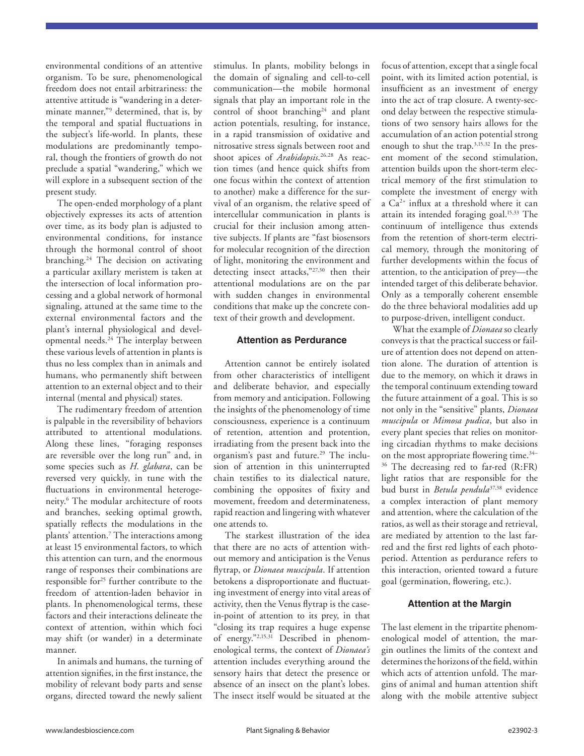environmental conditions of an attentive organism. To be sure, phenomenological freedom does not entail arbitrariness: the attentive attitude is "wandering in a determinate manner,"9 determined, that is, by the temporal and spatial fluctuations in the subject's life-world. In plants, these modulations are predominantly temporal, though the frontiers of growth do not preclude a spatial "wandering," which we will explore in a subsequent section of the present study.

The open-ended morphology of a plant objectively expresses its acts of attention over time, as its body plan is adjusted to environmental conditions, for instance through the hormonal control of shoot branching.<sup>24</sup> The decision on activating a particular axillary meristem is taken at the intersection of local information processing and a global network of hormonal signaling, attuned at the same time to the external environmental factors and the plant's internal physiological and developmental needs.24 The interplay between these various levels of attention in plants is thus no less complex than in animals and humans, who permanently shift between attention to an external object and to their internal (mental and physical) states.

The rudimentary freedom of attention is palpable in the reversibility of behaviors attributed to attentional modulations. Along these lines, "foraging responses are reversible over the long run" and, in some species such as *H. glabara*, can be reversed very quickly, in tune with the fluctuations in environmental heterogeneity.6 The modular architecture of roots and branches, seeking optimal growth, spatially reflects the modulations in the plants' attention.7 The interactions among at least 15 environmental factors, to which this attention can turn, and the enormous range of responses their combinations are responsible for<sup>25</sup> further contribute to the freedom of attention-laden behavior in plants. In phenomenological terms, these factors and their interactions delineate the context of attention, within which foci may shift (or wander) in a determinate manner.

In animals and humans, the turning of attention signifies, in the first instance, the mobility of relevant body parts and sense organs, directed toward the newly salient

stimulus. In plants, mobility belongs in the domain of signaling and cell-to-cell communication—the mobile hormonal signals that play an important role in the control of shoot branching<sup>24</sup> and plant action potentials, resulting, for instance, in a rapid transmission of oxidative and nitrosative stress signals between root and shoot apices of *Arabidopsis*. 26,28 As reaction times (and hence quick shifts from one focus within the context of attention to another) make a difference for the survival of an organism, the relative speed of intercellular communication in plants is crucial for their inclusion among attentive subjects. If plants are "fast biosensors for molecular recognition of the direction of light, monitoring the environment and detecting insect attacks,"27,30 then their attentional modulations are on the par with sudden changes in environmental conditions that make up the concrete context of their growth and development.

## **Attention as Perdurance**

Attention cannot be entirely isolated from other characteristics of intelligent and deliberate behavior, and especially from memory and anticipation. Following the insights of the phenomenology of time consciousness, experience is a continuum of retention, attention and protention, irradiating from the present back into the organism's past and future.<sup>29</sup> The inclusion of attention in this uninterrupted chain testifies to its dialectical nature, combining the opposites of fixity and movement, freedom and determinateness, rapid reaction and lingering with whatever one attends to.

The starkest illustration of the idea that there are no acts of attention without memory and anticipation is the Venus flytrap, or *Dionaea muscipula*. If attention betokens a disproportionate and fluctuating investment of energy into vital areas of activity, then the Venus flytrap is the casein-point of attention to its prey, in that "closing its trap requires a huge expense of energy."2,15,31 Described in phenomenological terms, the context of *Dionaea's*  attention includes everything around the sensory hairs that detect the presence or absence of an insect on the plant's lobes. The insect itself would be situated at the

focus of attention, except that a single focal point, with its limited action potential, is insufficient as an investment of energy into the act of trap closure. A twenty-second delay between the respective stimulations of two sensory hairs allows for the accumulation of an action potential strong enough to shut the trap.3,15,32 In the present moment of the second stimulation, attention builds upon the short-term electrical memory of the first stimulation to complete the investment of energy with a Ca2+ influx at a threshold where it can attain its intended foraging goal.<sup>15,33</sup> The continuum of intelligence thus extends from the retention of short-term electrical memory, through the monitoring of further developments within the focus of attention, to the anticipation of prey—the intended target of this deliberate behavior. Only as a temporally coherent ensemble do the three behavioral modalities add up to purpose-driven, intelligent conduct.

What the example of *Dionaea* so clearly conveys is that the practical success or failure of attention does not depend on attention alone. The duration of attention is due to the memory, on which it draws in the temporal continuum extending toward the future attainment of a goal. This is so not only in the "sensitive" plants, *Dionaea muscipula* or *Mimosa pudica*, but also in every plant species that relies on monitoring circadian rhythms to make decisions on the most appropriate flowering time.<sup>34–</sup> <sup>36</sup> The decreasing red to far-red (R:FR) light ratios that are responsible for the bud burst in *Betula pendula*37,38 evidence a complex interaction of plant memory and attention, where the calculation of the ratios, as well as their storage and retrieval, are mediated by attention to the last farred and the first red lights of each photoperiod. Attention as perdurance refers to this interaction, oriented toward a future goal (germination, flowering, etc.).

## **Attention at the Margin**

The last element in the tripartite phenomenological model of attention, the margin outlines the limits of the context and determines the horizons of the field, within which acts of attention unfold. The margins of animal and human attention shift along with the mobile attentive subject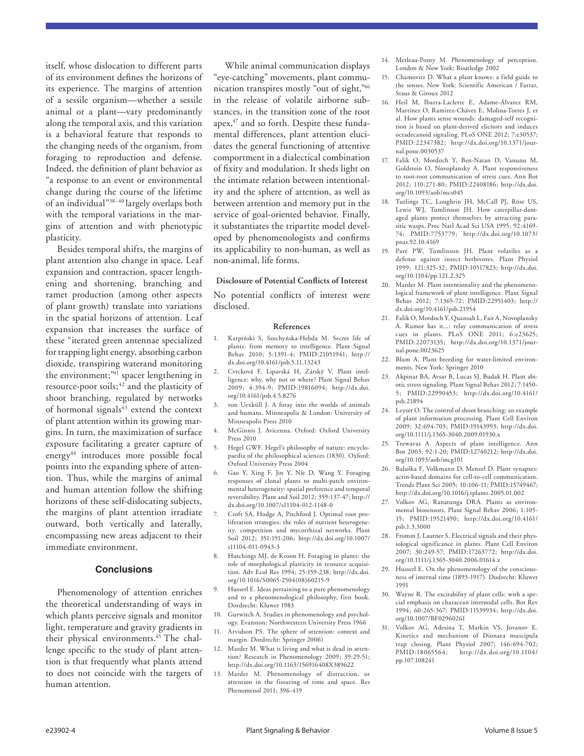itself, whose dislocation to different parts of its environment defines the horizons of its experience. The margins of attention of a sessile organism—whether a sessile animal or a plant—vary predominantly along the temporal axis, and this variation is a behavioral feature that responds to the changing needs of the organism, from foraging to reproduction and defense. Indeed, the definition of plant behavior as "a response to an event or environmental change during the course of the lifetime of an individual"38–40 largely overlaps both with the temporal variations in the margins of attention and with phenotypic plasticity.

Besides temporal shifts, the margins of plant attention also change in space. Leaf expansion and contraction, spacer lengthening and shortening, branching and ramet production (among other aspects of plant growth) translate into variations in the spatial horizons of attention. Leaf expansion that increases the surface of these "iterated green antennae specialized for trapping light energy, absorbing carbon dioxide, transpiring waterand monitoring the environment;<sup>"41</sup> spacer lengthening in resource-poor soils;  $42$  and the plasticity of shoot branching, regulated by networks of hormonal signals<sup>43</sup> extend the context of plant attention within its growing margins. In turn, the maximization of surface exposure facilitating a greater capture of energy<sup>44</sup> introduces more possible focal points into the expanding sphere of attention. Thus, while the margins of animal and human attention follow the shifting horizons of these self-dislocating subjects, the margins of plant attention irradiate outward, both vertically and laterally, encompassing new areas adjacent to their immediate environment.

#### **Conclusions**

Phenomenology of attention enriches the theoretical understanding of ways in which plants perceive signals and monitor light, temperature and gravity gradients in their physical environments.<sup>45</sup> The challenge specific to the study of plant attention is that frequently what plants attend to does not coincide with the targets of human attention.

While animal communication displays "eye-catching" movements, plant communication transpires mostly "out of sight,"46 in the release of volatile airborne substances, in the transition zone of the root apex, $47$  and so forth. Despite these fundamental differences, plant attention elucidates the general functioning of attentive comportment in a dialectical combination of fixity and modulation. It sheds light on the intimate relation between intentionality and the sphere of attention, as well as between attention and memory put in the service of goal-oriented behavior. Finally, it substantiates the tripartite model developed by phenomenologists and confirms its applicability to non-human, as well as non-animal, life forms.

#### **Disclosure of Potential Conflicts of Interest**

No potential conflicts of interest were disclosed.

#### **References**

- 1. Karpiński S, Szechyńska-Hebda M. Secret life of plants: from memory to intelligence. Plant Signal Behav 2010; 5:1391-4; PMID:21051941; http:// dx.doi.org/10.4161/psb.5.11.13243
- 2. Cvrcková F, Lipavská H, Zárský V. Plant intelligence: why, why not or where? Plant Signal Behav 2009; 4:394-9; PMID:19816094; http://dx.doi. org/10.4161/psb.4.5.8276
- 3. von Uexküll J. A foray into the worlds of animals and humans. Minneapolis & London: University of Minneapolis Press 2010
- McGinnis J. Avicenna. Oxford: Oxford University Press 2010
- 5. Hegel GWF. Hegel's philosophy of nature: encyclopaedia of the philosophical sciences (1830). Oxford: Oxford University Press 2004
- 6. Gao Y, Xing F, Jin Y, Nie D, Wang Y. Foraging responses of clonal plants to multi-patch environmental heterogeneity: spatial preference and temporal reversibility. Plant and Soil 2012; 359:137-47; http:// dx.doi.org/10.1007/s11104-012-1148-0
- Croft SA, Hodge A, Pitchford J. Optimal root proliferation strategies: the roles of nutrient heterogeneity, competition and mycorrhizal networks. Plant Soil 2012; 351:191-206; http://dx.doi.org/10.1007/ s11104-011-0943-3
- 8. Hutchings MJ, de Kroon H. Foraging in plants: the role of morphological plasticity in resource acquisition. Adv Ecol Res 1994; 25:159-238; http://dx.doi. org/10.1016/S0065-2504(08)60215-9
- Husserl E. Ideas pertaining to a pure phenomenology and to a phenomenological philosophy, first book. Dordrecht: Kluwer 1983
- 10. Gurwitch A. Studies in phenomenology and psychology. Evanston: Northwestern University Press 1966
- 11. Arvidson PS. The sphere of attention: context and margin. Dordrecht: Springer 2006)
- 12. Marder M. What is living and what is dead in attention? Research in Phenomenology 2009; 39:29-51; http://dx.doi.org/10.1163/156916408X389622
- 13. Marder M. Phenomenology of distraction, or attention in the fissuring of time and space. Res Phenomenol 2011; 396-419
- 14. Merleau-Ponty M. Phenomenology of perception. London & New York: Routledge 2002
- 15. Chamovitz D. What a plant knows: a field guide to the senses. New York: Scientific American / Farrar, Staus & Giroux 2012
- 16. Heil M, Ibarra-Laclette E, Adame-Álvarez RM, Martínez O, Ramirez-Chávez E, Molina-Torres J, et al. How plants sense wounds: damaged-self recognition is based on plant-derived elicitors and induces octadecanoid signaling. PLoS ONE 2012; 7:e30537; PMID:22347382; http://dx.doi.org/10.1371/journal.pone.0030537
- 17. Falik O, Mordoch Y, Ben-Natan D, Vanunu M, Goldstein O, Novoplansky A. Plant responsiveness to root-root communication of stress cues. Ann Bot 2012; 110:271-80; PMID:22408186; http://dx.doi. org/10.1093/aob/mcs045
- 18. Turlings TC, Loughrin JH, McCall PJ, Röse US, Lewis WJ, Tumlinson JH. How caterpillar-damaged plants protect themselves by attracting parasitic wasps. Proc Natl Acad Sci USA 1995; 92:4169- 74; PMID:7753779; http://dx.doi.org/10.1073/ pnas.92.10.4169
- 19. Paré PW, Tumlinson JH. Plant volatiles as a defense against insect herbivores. Plant Physiol 1999; 121:325-32; PMID:10517823; http://dx.doi. org/10.1104/pp.121.2.325
- Marder M. Plant intentionality and the phenomenological framework of plant intelligence. Plant Signal Behav 2012; 7:1365-72; PMID:22951403; http:// dx.doi.org/10.4161/psb.21954
- 21. Falik O, Mordoch Y, Quansah L, Fait A, Novoplansky A. Rumor has it...: relay communication of stress cues in plants. PLoS ONE 2011; 6:e23625; PMID:22073135; http://dx.doi.org/10.1371/journal.pone.0023625
- 22. Blum A. Plant breeding for water-limited environments. New York: Springer 2010
- 23. Akpinar BA, Avsar B, Lucas SJ, Budak H. Plant abiotic stress signaling. Plant Signal Behav 2012; 7:1450- 5; PMID:22990453; http://dx.doi.org/10.4161/ psb.21894
- 24. Leyser O. The control of shoot branching: an example of plant information processing. Plant Cell Environ 2009; 32:694-703; PMID:19143993; http://dx.doi. org/10.1111/j.1365-3040.2009.01930.x
- 25. Trewavas A. Aspects of plant intelligence. Ann Bot 2003; 92:1-20; PMID:12740212; http://dx.doi. org/10.1093/aob/mcg101
- 26. Baluška F, Volkmann D, Menzel D. Plant synapses: actin-based domains for cell-to-cell communication. Trends Plant Sci 2005; 10:106-11; PMID:15749467; http://dx.doi.org/10.1016/j.tplants.2005.01.002
- 27. Volkov AG, Ranatunga DRA. Plants as environmental biosensors. Plant Signal Behav 2006; 1:105- 15; PMID:19521490; http://dx.doi.org/10.4161/ psb.1.3.3000
- 28. Fromm J, Lautner S. Electrical signals and their physiological significance in plants. Plant Cell Environ 2007; 30:249-57; PMID:17263772; http://dx.doi. org/10.1111/j.1365-3040.2006.01614.x
- 29. Husserl E. On the phenomenology of the consciousness of internal time (1893-1917). Dodrecht: Kluwer 1991
- 30. Wayne R. The excitability of plant cells: with a special emphasis on characean internodal cells. Bot Rev 1994; 60:265-367; PMID:11539934; http://dx.doi. org/10.1007/BF02960261
- 31. Volkov AG, Adesina T, Markin VS, Jovanov E. Kinetics and mechanism of Dionaea muscipula trap closing. Plant Physiol 2007; 146:694-702; PMID:18065564; http://dx.doi.org/10.1104/ pp.107.108241